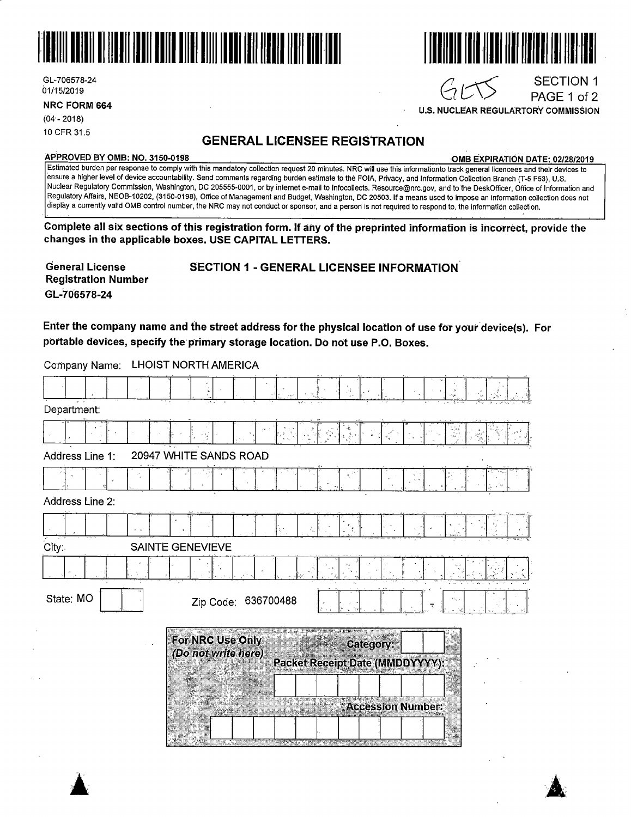

GL-706578-24 01/15/2019

**NRC FORM 664** 

(04·- 2018) 10 CFR 31.5

#### **GENERAL LICENSEE REGISTRATION**

#### **APPROVED BY 0MB: NO. 3150-0198 ·OMB EXPIRATION DATE: 02/28/2019**

SECTION 1 PAGE 1 of 2

Estimated burden per response to comply with this mandatory collection request 20 minutes. NRC will use this informationto track general licencees and their devices to ·ensure a higher level of device accountability. Send comments regarding burden estimate to the FOIA, Privacy, and Information Collection Branch (T-5 F53), U.S. Nuclear Regulatory Commission, Washington, DC 205555-0001, or by internet e-mail to lnfocollects. Resource@nrc.gov, and to the DeskOfficer, Office of Information and Regulatory Affairs, NEOB-10202, (3150-0198), Office of Management and Budget, Washington, DC 20503. If a means used to impose an information collection does not display a currently valid 0MB control number, the NRC may not conduct or sponsor, and a person is not required to respond to, the information collection.

**Complete all six sections of this registration form. If any of the preprinted information is lncorreet, provide the changes in the applicable boxes. USE CAPITAL LETTERS.** 

**General License Registration Number GL-70'6578-24** 

SECTION 1 - GENERAL LICENSEE INFORMATION

Enter the company name and the street address for the physical location of use for your device(s). For **portable devices, specify the· primary storage location. Do not use P .0. Boxes.** 

Company Name: LHOIST NORTH AMERICA

|                                           |                     | - 1                             |                          |       |  |  |  |
|-------------------------------------------|---------------------|---------------------------------|--------------------------|-------|--|--|--|
| Department:                               |                     |                                 |                          |       |  |  |  |
|                                           |                     |                                 |                          |       |  |  |  |
| 20947 WHITE SANDS ROAD<br>Address Line 1: |                     |                                 |                          |       |  |  |  |
|                                           |                     |                                 |                          |       |  |  |  |
| Address Line 2:                           |                     |                                 |                          |       |  |  |  |
|                                           |                     |                                 |                          |       |  |  |  |
| City:                                     | SAINTE GENEVIEVE    |                                 |                          |       |  |  |  |
|                                           |                     |                                 |                          |       |  |  |  |
| State: MO                                 | Zip Code: 636700488 |                                 |                          | 78    |  |  |  |
|                                           | For NRC Use Only    |                                 | Category:                |       |  |  |  |
|                                           | (Do not write here) | Packet Receipt Date (MMDDYYYY): |                          |       |  |  |  |
|                                           |                     |                                 |                          |       |  |  |  |
|                                           |                     |                                 | <b>Accession Number:</b> |       |  |  |  |
|                                           |                     | <b>COMMUNISTICATION</b>         |                          | 33.63 |  |  |  |



 $G155$ 

**U.S. NUCLEAR REGULARTORY COMMISSION**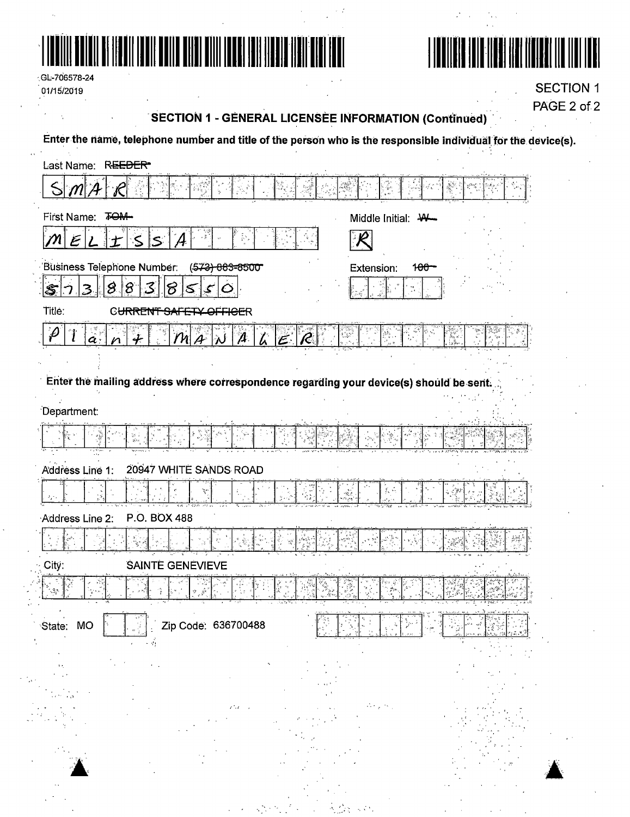



 $\mathcal{L}$  $\bar{z}$ 

GL-706578-24 01/15/2019

**SECTION 1** PAGE 2 of 2

## SECTION 1 - GENERAL LICENSEE INFORMATION (Continued)

Enter the name, telephone number and title of the person who is the responsible individual for the device(s).

| Last Name: REEDER                                                                                   |                                    |
|-----------------------------------------------------------------------------------------------------|------------------------------------|
| $ \mathcal{M} $ $\mathcal{A}$                                                                       |                                    |
| First Name: TOM-                                                                                    | Middle Initial: \\-                |
| ે≲ં<br>$\mathcal{E}$<br>$\mathcal{M}_{\mathcal{A}}$<br>ls:                                          |                                    |
| Business Telephone Number:<br>(573) 863-8500                                                        | Extension:<br>1 <del>00</del>      |
| $ \mathcal{S} $<br>$ 8\rangle$<br>3<br>18<br>S<br>3<br>5<br>ىپى<br>$\mathcal{O}$                    |                                    |
| Title:<br>C <del>URRENT SAI</del><br><del>OFFICE</del> R                                            |                                    |
| $\boldsymbol{\rho}$<br>$\mathcal{L}$<br> M A<br>$\boldsymbol{\mathcal{A}}$<br>R<br>$\boldsymbol{a}$ | 御行                                 |
|                                                                                                     |                                    |
| Enter the mailing address where correspondence regarding your device(s) should be sent.             |                                    |
|                                                                                                     |                                    |
| Department:                                                                                         |                                    |
| 남<br>왕                                                                                              |                                    |
| 20947 WHITE SANDS ROAD<br>Address Line 1:                                                           |                                    |
|                                                                                                     | $\mathcal{E}_\mathrm{c} \subseteq$ |
|                                                                                                     | Ť.                                 |
| P.O. BOX 488<br>Address Line 2:                                                                     |                                    |
|                                                                                                     |                                    |
| City:<br>SAINTE GENEVIEVE                                                                           |                                    |
|                                                                                                     |                                    |
|                                                                                                     | <u>residence mate in d</u>         |
| कर<br>-91<br>Zip Code: 636700488<br>State: MO                                                       |                                    |
|                                                                                                     |                                    |
|                                                                                                     |                                    |
|                                                                                                     |                                    |
|                                                                                                     |                                    |
|                                                                                                     |                                    |
|                                                                                                     |                                    |
|                                                                                                     |                                    |
|                                                                                                     |                                    |
|                                                                                                     |                                    |
|                                                                                                     |                                    |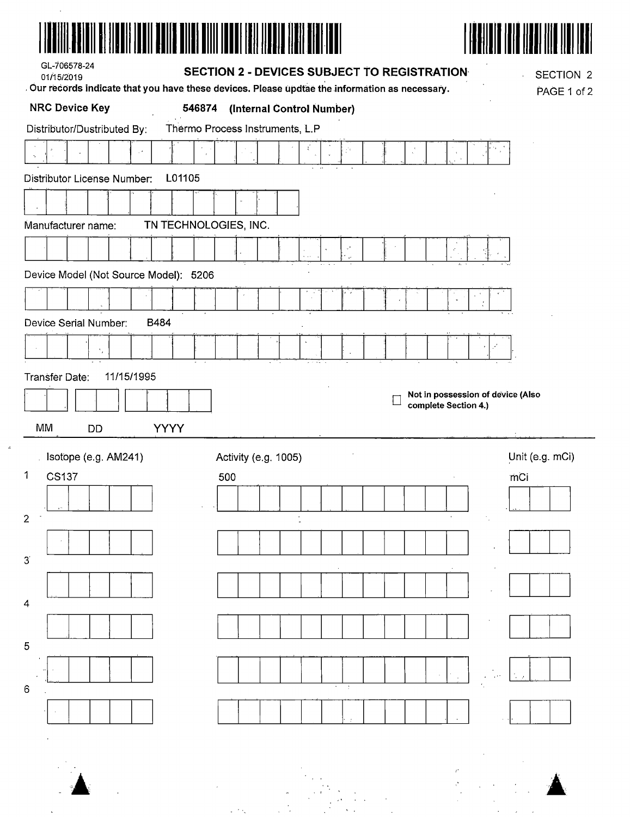| GL-706578-24<br>01/15/2019                  | SECTION 2 - DEVICES SUBJECT TO REGISTRATION                                                     | SECTION 2<br>Ŷ.                   |
|---------------------------------------------|-------------------------------------------------------------------------------------------------|-----------------------------------|
|                                             | . Our records indicate that you have these devices. Please updtae the information as necessary. | PAGE 1 of 2                       |
| <b>NRC Device Key</b><br>546874             | (Internal Control Number)                                                                       |                                   |
| Distributor/Dustributed By:                 | Thermo Process Instruments, L.P<br>š,                                                           |                                   |
|                                             |                                                                                                 |                                   |
| L01105<br>Distributor License Number:       |                                                                                                 |                                   |
|                                             |                                                                                                 |                                   |
| TN TECHNOLOGIES, INC.<br>Manufacturer name: |                                                                                                 |                                   |
|                                             |                                                                                                 | $\mathcal{P}_{\mathcal{A}}$       |
| Device Model (Not Source Model): 5206       |                                                                                                 |                                   |
|                                             |                                                                                                 | $\overline{\phantom{a}}$          |
| Device Serial Number:<br>B484               |                                                                                                 |                                   |
|                                             |                                                                                                 |                                   |
| 11/15/1995<br>Transfer Date:                |                                                                                                 |                                   |
|                                             |                                                                                                 | Not in possession of device (Also |
|                                             | complete Section 4.)                                                                            |                                   |
| MM<br><b>YYYY</b><br><b>DD</b>              |                                                                                                 |                                   |
| Isotope (e.g. AM241)                        | Activity (e.g. 1005)                                                                            | Unit (e.g. mCi)                   |
| 1<br><b>CS137</b>                           | 500                                                                                             | mCi                               |
|                                             |                                                                                                 |                                   |
| 2                                           |                                                                                                 |                                   |
| $3^{\circ}$                                 |                                                                                                 |                                   |
|                                             |                                                                                                 |                                   |
| 4                                           |                                                                                                 |                                   |
| 5                                           |                                                                                                 |                                   |
| 6                                           |                                                                                                 |                                   |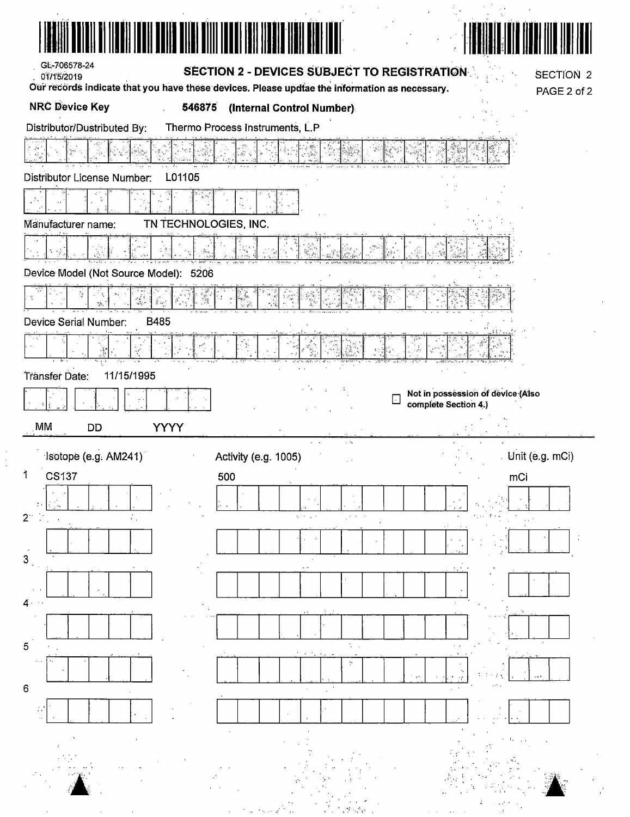| AII BI IIYOII IODII BOIII BIIII BIIII IODO |                                                                                                              |
|--------------------------------------------|--------------------------------------------------------------------------------------------------------------|
| GL-706578-24<br>01/15/2019                 | SECTION 2 - DEVICES SUBJECT TO REGISTRATION<br><b>SECTION 2</b>                                              |
|                                            | Our records indicate that you have these devices. Please updtae the information as necessary.<br>PAGE 2 of 2 |
| <b>NRC Device Key</b><br>546875            | (Internal Control Number)                                                                                    |
| Distributor/Dustributed By:                | Thermo Process Instruments, L.P                                                                              |
|                                            |                                                                                                              |
| Distributor License Number:<br>L01105      |                                                                                                              |
|                                            | e ive                                                                                                        |
| Manufacturer name:                         | TN TECHNOLOGIES, INC.                                                                                        |
|                                            |                                                                                                              |
| Device Model (Not Source Model): 5206      |                                                                                                              |
| N<br>ما کود<br>پانچ                        | e<br>A                                                                                                       |
| B485<br>Device Serial Number:              |                                                                                                              |
|                                            |                                                                                                              |
| Transfer Date:<br>11/15/1995               |                                                                                                              |
|                                            | Not in possession of device (Also<br>$\overline{\phantom{a}}$<br>complete Section 4.)                        |
| MM,<br><b>YYYY</b><br>DD                   |                                                                                                              |
|                                            |                                                                                                              |
|                                            | $\sim$ $\sim$                                                                                                |
| Isotope (e.g. AM241)<br>1<br><b>CS137</b>  | Unit (e.g. mCi)<br>Activity (e.g. 1005)                                                                      |
|                                            | 500<br>mCi                                                                                                   |
| $2^{\circ}$<br>÷.,                         | <b>Community</b>                                                                                             |
|                                            |                                                                                                              |
| 3                                          |                                                                                                              |
|                                            |                                                                                                              |
| $4 \cdot \cdot$                            |                                                                                                              |
|                                            |                                                                                                              |
| 5                                          | $\mathbb{C}^*$                                                                                               |
|                                            |                                                                                                              |
| 6                                          |                                                                                                              |
|                                            |                                                                                                              |
|                                            |                                                                                                              |
|                                            |                                                                                                              |

 $\begin{bmatrix} 1 \\ 1 \\ 2 \end{bmatrix}$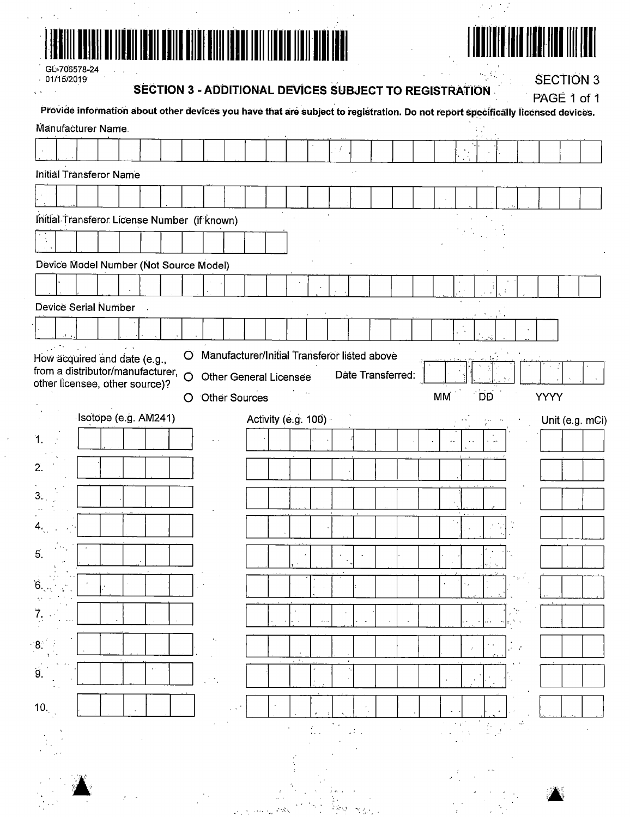|--|

# 

 $\epsilon$ 

 $\frac{1}{2}$  $\mathcal{F}^{\mathcal{C}}$ 

 $\alpha_{\rm s}/\Omega_{\rm c}$  .

GL-706578-24  $-01/15/2019$ 

SECTION 3 - ADDITIONAL DEVICES SUBJECT TO REGISTRATION

**SECTION 3** PAGE 1 of 1

|                  |  |                                                                  |                             |              | Provide information about other devices you have that are subject to registration. Do not report specifically licensed devices. |                                              |  |                     |        |            |         |                   |  |            |                               |                         |                |                                                                                                                                           |             |                 |
|------------------|--|------------------------------------------------------------------|-----------------------------|--------------|---------------------------------------------------------------------------------------------------------------------------------|----------------------------------------------|--|---------------------|--------|------------|---------|-------------------|--|------------|-------------------------------|-------------------------|----------------|-------------------------------------------------------------------------------------------------------------------------------------------|-------------|-----------------|
|                  |  | Manufacturer Name.                                               |                             |              |                                                                                                                                 |                                              |  |                     |        |            |         |                   |  |            |                               |                         |                |                                                                                                                                           |             |                 |
|                  |  |                                                                  |                             |              |                                                                                                                                 |                                              |  |                     |        | j v š      |         |                   |  |            |                               |                         |                |                                                                                                                                           |             |                 |
|                  |  | Initial Transferor Name                                          |                             |              |                                                                                                                                 |                                              |  |                     |        |            |         |                   |  |            |                               |                         |                |                                                                                                                                           |             |                 |
|                  |  |                                                                  |                             |              |                                                                                                                                 |                                              |  |                     |        |            |         |                   |  |            |                               |                         |                |                                                                                                                                           |             |                 |
|                  |  |                                                                  |                             |              | Initial Transferor License Number (if known)                                                                                    |                                              |  |                     |        |            |         |                   |  |            |                               |                         |                |                                                                                                                                           |             |                 |
|                  |  |                                                                  |                             |              |                                                                                                                                 |                                              |  |                     |        |            |         |                   |  |            |                               |                         |                |                                                                                                                                           |             |                 |
|                  |  |                                                                  |                             |              | Device Model Number (Not Source Model)                                                                                          |                                              |  |                     |        |            |         |                   |  |            |                               |                         |                |                                                                                                                                           |             |                 |
|                  |  |                                                                  |                             |              |                                                                                                                                 |                                              |  |                     |        |            |         |                   |  |            |                               |                         |                |                                                                                                                                           |             |                 |
|                  |  | Device Serial Number                                             |                             |              |                                                                                                                                 |                                              |  |                     |        |            |         |                   |  |            |                               |                         |                |                                                                                                                                           |             |                 |
|                  |  |                                                                  |                             |              |                                                                                                                                 |                                              |  |                     |        |            |         |                   |  |            |                               |                         |                |                                                                                                                                           |             |                 |
|                  |  |                                                                  |                             |              |                                                                                                                                 | Manufacturer/Initial Transferor listed above |  |                     |        |            |         |                   |  |            |                               |                         |                |                                                                                                                                           |             |                 |
|                  |  | How acquired and date (e.g.,<br>from a distributor/manufacturer, |                             | O<br>$\circ$ |                                                                                                                                 |                                              |  |                     |        |            |         | Date Transferred: |  |            |                               |                         |                |                                                                                                                                           |             |                 |
|                  |  | other licensee, other source)?                                   |                             |              |                                                                                                                                 | <b>Other General Licensee</b>                |  |                     |        |            |         |                   |  | MM         |                               | <b>DD</b>               |                |                                                                                                                                           | <b>YYYY</b> |                 |
|                  |  | Isotope (e.g. AM241)                                             |                             | O            |                                                                                                                                 | <b>Other Sources</b>                         |  |                     |        |            |         |                   |  |            |                               |                         |                |                                                                                                                                           |             |                 |
|                  |  |                                                                  |                             |              |                                                                                                                                 |                                              |  | Activity (e.g. 100) |        |            |         |                   |  |            |                               |                         |                |                                                                                                                                           |             | Unit (e.g. mCi) |
| 1.               |  |                                                                  |                             |              |                                                                                                                                 |                                              |  |                     |        |            |         |                   |  |            |                               |                         |                |                                                                                                                                           |             |                 |
| 2.               |  |                                                                  |                             |              |                                                                                                                                 |                                              |  |                     |        |            |         |                   |  |            |                               |                         |                |                                                                                                                                           |             |                 |
| 3.               |  |                                                                  |                             |              |                                                                                                                                 |                                              |  |                     |        |            |         |                   |  |            |                               |                         |                |                                                                                                                                           |             |                 |
|                  |  |                                                                  |                             |              |                                                                                                                                 |                                              |  |                     |        |            |         |                   |  |            |                               |                         |                |                                                                                                                                           |             |                 |
|                  |  |                                                                  |                             |              |                                                                                                                                 |                                              |  |                     |        |            |         |                   |  |            |                               |                         |                |                                                                                                                                           |             |                 |
| 5.               |  |                                                                  |                             |              |                                                                                                                                 |                                              |  |                     |        |            |         |                   |  |            |                               |                         |                |                                                                                                                                           |             |                 |
| Ġ.               |  |                                                                  |                             |              |                                                                                                                                 |                                              |  |                     |        |            |         |                   |  |            |                               |                         |                |                                                                                                                                           |             |                 |
|                  |  |                                                                  |                             |              |                                                                                                                                 |                                              |  |                     |        |            |         |                   |  |            |                               |                         |                |                                                                                                                                           |             |                 |
| $\overline{7}$ . |  |                                                                  |                             |              |                                                                                                                                 |                                              |  |                     | $\sim$ |            | $\cdot$ |                   |  |            |                               |                         | $\mathbb{R}^2$ | بالمحي                                                                                                                                    |             |                 |
| $8^{\circ}$      |  |                                                                  |                             |              | $\mathcal{F}_{\mathcal{A}}$                                                                                                     |                                              |  |                     |        |            |         |                   |  |            | $\vec{r}$                     |                         |                | $\mathcal{L}$                                                                                                                             |             |                 |
| 9.               |  |                                                                  | $\mathcal{C}^{\mathcal{A}}$ |              |                                                                                                                                 |                                              |  |                     |        | $\epsilon$ |         |                   |  |            |                               |                         |                |                                                                                                                                           |             |                 |
|                  |  |                                                                  |                             |              | Λň,                                                                                                                             |                                              |  |                     |        |            |         |                   |  | $\epsilon$ |                               |                         |                |                                                                                                                                           |             |                 |
| 10.              |  |                                                                  |                             |              |                                                                                                                                 |                                              |  |                     |        |            |         |                   |  |            |                               |                         |                |                                                                                                                                           |             |                 |
|                  |  |                                                                  |                             |              |                                                                                                                                 |                                              |  |                     |        |            |         |                   |  |            | $\sim 10^{10}$<br>$\lambda=1$ |                         |                | $\label{eq:2.1} \int_{\frac{\pi}{2} \pi} \frac{1}{\sqrt{2}} \, \frac{1}{\sqrt{2}} \, \frac{d\pi}{\sqrt{2}} \, \frac{d\pi}{\sqrt{2}} \, .$ |             |                 |
|                  |  |                                                                  |                             |              |                                                                                                                                 |                                              |  |                     |        |            |         |                   |  |            |                               |                         |                |                                                                                                                                           |             |                 |
|                  |  |                                                                  |                             |              |                                                                                                                                 |                                              |  |                     |        |            |         |                   |  |            |                               | $\epsilon$ . $\epsilon$ |                |                                                                                                                                           |             |                 |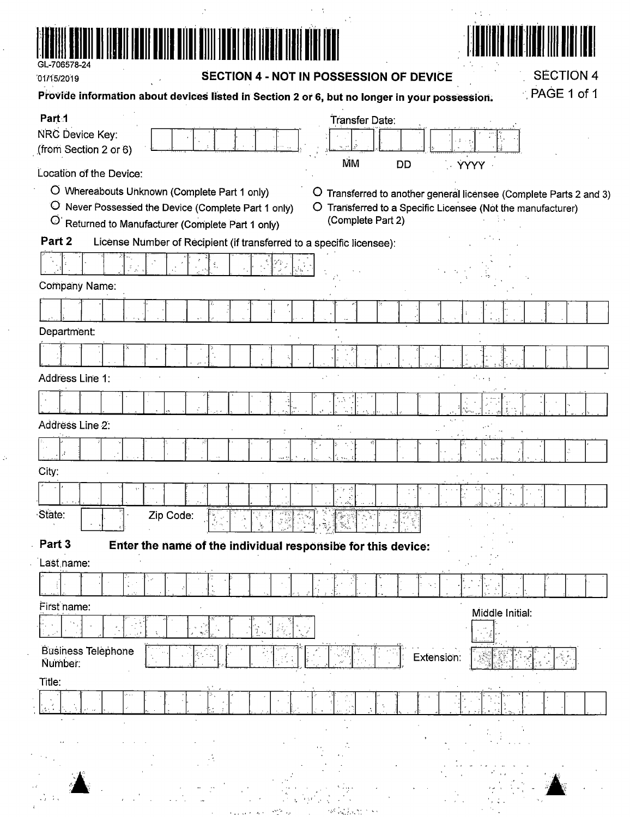

 $\mathcal{I}$ 

01/15/2019

### SECTION 4 - NOT IN POSSESSION OF DEVICE

 $\mathcal{H} \subset \mathcal{M}$ 

 $\sim 1$ 

**SECTION 4** 

 $\mathbf 1$ 

| Provide information about devices listed in Section 2 or 6, but no longer in your possession. | PAGE 1 of |
|-----------------------------------------------------------------------------------------------|-----------|
|                                                                                               |           |

 $\Delta$ 

 $\sim 1$  .

| Part <sub>1</sub>                                                                                                          | Transfer Date:                                                                   |
|----------------------------------------------------------------------------------------------------------------------------|----------------------------------------------------------------------------------|
| NRC Device Key:                                                                                                            |                                                                                  |
| (from Section 2 or 6)                                                                                                      | <b>MM</b><br><b>DD</b><br>$\sim$ YYYY $\sim$                                     |
| Location of the Device:                                                                                                    |                                                                                  |
| O Whereabouts Unknown (Complete Part 1 only)<br>$\circ$                                                                    | Transferred to another general licensee (Complete Parts 2 and 3)                 |
| $\circ$<br>Never Possessed the Device (Complete Part 1 only)<br>$\circ$<br>Returned to Manufacturer (Complete Part 1 only) | O Transferred to a Specific Licensee (Not the manufacturer)<br>(Complete Part 2) |
| Part 2<br>License Number of Recipient (if transferred to a specific licensee):                                             |                                                                                  |
|                                                                                                                            |                                                                                  |
| Company Name:                                                                                                              |                                                                                  |
|                                                                                                                            |                                                                                  |
| Department:                                                                                                                |                                                                                  |
|                                                                                                                            |                                                                                  |
| Address Line 1:                                                                                                            | И.,                                                                              |
|                                                                                                                            | ۰.                                                                               |
| Address Line 2:                                                                                                            |                                                                                  |
|                                                                                                                            |                                                                                  |
|                                                                                                                            |                                                                                  |
| City:                                                                                                                      |                                                                                  |
|                                                                                                                            |                                                                                  |
| State:<br>Zip Code:<br>j.                                                                                                  | Ÿ,                                                                               |
| Part 3<br>Enter the name of the individual responsibe for this device:                                                     |                                                                                  |
| Last name:                                                                                                                 |                                                                                  |
| $\frac{1}{2}$ , $\frac{1}{2}$                                                                                              | Y.                                                                               |
| First name:                                                                                                                | Middle Initial:                                                                  |
| 9.,                                                                                                                        |                                                                                  |
| <b>Business Telephone</b><br>Number:                                                                                       | Extension:                                                                       |
| Title:                                                                                                                     |                                                                                  |
| $\epsilon$                                                                                                                 |                                                                                  |
|                                                                                                                            | $\epsilon = 1$                                                                   |
|                                                                                                                            |                                                                                  |
|                                                                                                                            |                                                                                  |
| $2.7 - 7.1$                                                                                                                | an Maria                                                                         |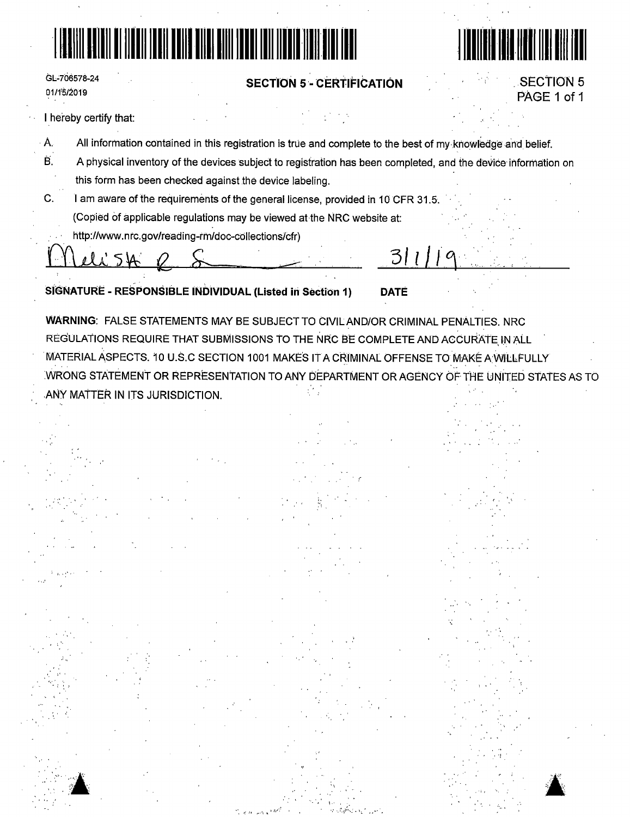# 1111111111111111111111111111111111111111111111111111111111111111111111



',, .' '/ .·

 $\blacktriangle$ 

| GL-706578-24 |  |
|--------------|--|
| 01/15/2019   |  |

: 1-·:···

,· \'. '' '..'

### **SECTION 5** - **'CERTIFICATION**

SECTION 5 PAGE 1 of 1

I hereby certify that:

- A. All information contained in this registration is true and complete to the best of my-knowledge and belief.
- 13. A physical inventory of the devices subject to registration has been completed, and the device· information on this form has been checked against the device labeling.
- C. I am aware of the requirements of the general license, provided in 10 CFR 31.5. (Copied of applicable regulations may be viewed at the NRC website at:
	- http://www.nrc.gov/reading-rm/doc-cdllections/cfr)

en ill :s Vb e .S... *3/ill°\.* 

**SIGNATURE** - **RESPONSIBLE INDIVIDUAL (Listed iri Section 1) DATE** 

**WARNING:** FALSE STATEMENTS MAY BE SUBJECT TO CIVILAND/OR CRIMINAL PENALTIES. NRC REGULATIONS REQUIRE THAT SUBMISSIONS TO THE NRC BE COMPLETE AND ACCURATE IN ALL MATERIAL ASPECTS. 10 U.S.C SECTION 1001 MAKES IT A CRlMINAL OFFENSE TO MAKE AVVILLPULLY WRONG STATEMENT OR REPRESENTATION TO ANY DEPARTMENT OR AGENCY OF THE UNiTED STATES AS TO .ANY MATTER IN ITS JURISDICTION.

'I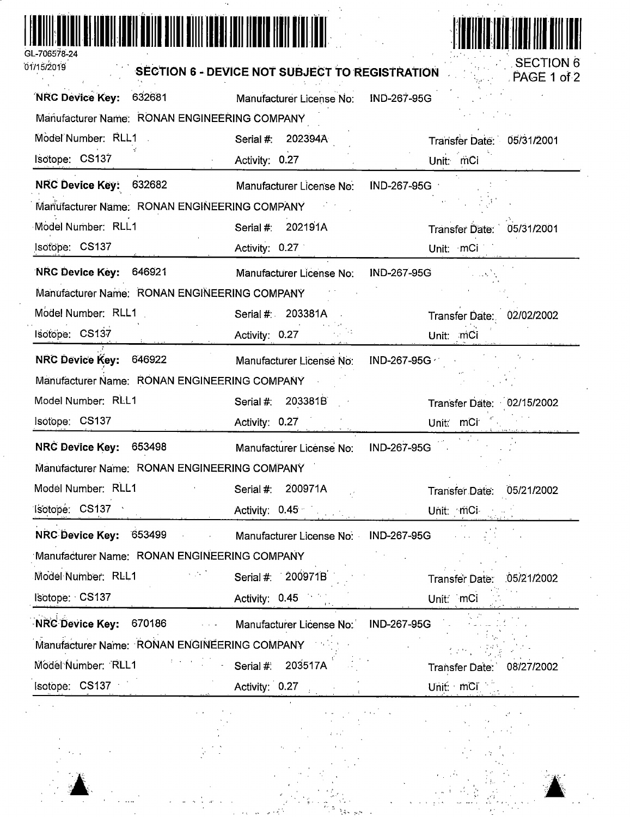| GL-706578-24 |  |
|--------------|--|

 $\sim$  $\ddot{\phantom{a}}$ 

01/15/2019



l.

 $\tilde{Q}$  and

 $\mathcal{L}$ 

|  |  | <b>SECTION 6 - DEVICE NOT SUBJECT TO REGISTRATION</b> |  |
|--|--|-------------------------------------------------------|--|
|  |  |                                                       |  |

| צו טאוט וו                                             | <b>SECTION 6 - DEVICE NOT SUBJECT TO REGISTRATION</b> | PAGE 1 of 2                         |
|--------------------------------------------------------|-------------------------------------------------------|-------------------------------------|
| NRC Device Key: 632681                                 | Manufacturer License No: IND-267-95G                  |                                     |
| Manufacturer Name: RONAN ENGINEERING COMPANY           |                                                       |                                     |
| Model Number: RLL1                                     | Serial #:<br>202394A                                  | Transfer Date: 05/31/2001           |
| Isotope: CS137                                         | Activity: 0.27                                        | Unit: mCi                           |
| NRC Device Key: 632682                                 | Manufacturer License No.                              | IND-267-95G                         |
| Manufacturer Name: RONAN ENGINEERING COMPANY           |                                                       |                                     |
| Model Number: RLL1                                     | 202191A<br>Serial #:                                  | 05/31/2001<br><b>Transfer Date:</b> |
| Isotope: CS137                                         | Activity: 0.27                                        | Unit: mCi                           |
| NRC Device Key: 646921                                 | Manufacturer License No:                              | IND-267-95G                         |
| Manufacturer Name: RONAN ENGINEERING COMPANY           |                                                       |                                     |
| Model Number: RLL1                                     | Serial #: 203381A                                     | Transfer Date: 02/02/2002           |
| Isotope: CS137                                         | Activity: 0.27                                        | Unit: mCi                           |
| NRC Device Key: 646922                                 | Manufacturer License No:                              | IND-267-95G                         |
| Manufacturer Name: RONAN ENGINEERING COMPANY           |                                                       |                                     |
| Model Number: RLL1                                     | 203381B<br>Serial #:                                  | Transfer Date: 02/15/2002           |
| Isotope: CS137                                         | Activity: 0.27                                        | Unit: mCi                           |
| NRC Device Key: 653498                                 | Manufacturer License No:                              | IND-267-95G                         |
| Manufacturer Name: RONAN ENGINEERING COMPANY           |                                                       |                                     |
| Model Number: RLL1                                     | 200971A<br>Serial #:                                  | 05/21/2002<br>Transfer Date:        |
| Isotope: CS137                                         | Activity: 0.45                                        | Unit. mCi                           |
| NRC Device Key: 653499                                 | Manufacturer License No: IND-267-95G                  |                                     |
| Manufacturer Name: RONAN ENGINEERING COMPANY           |                                                       |                                     |
| Model Number: RLL1                                     | Serial #: 200971B                                     | 05/21/2002<br>Transfer Date:        |
| Isotope: CS137                                         | Activity: 0.45                                        | Unit: mCi                           |
| <b>NRC Device Key:</b><br>670186<br>$\alpha = 1$ , and | Manufacturer License No:                              | <b>IND-267-95G</b>                  |
| Manufacturer Name: RONAN ENGINEERING COMPANY           |                                                       |                                     |
| Model Number: RLL1                                     | Serial #:<br>203517A                                  | Transfer Date:<br>08/27/2002        |
| Isotope: CS137                                         | Activity: 0.27                                        | Unit: $mCI$                         |



 $\hat{z} = \hat{z}^{-1}$